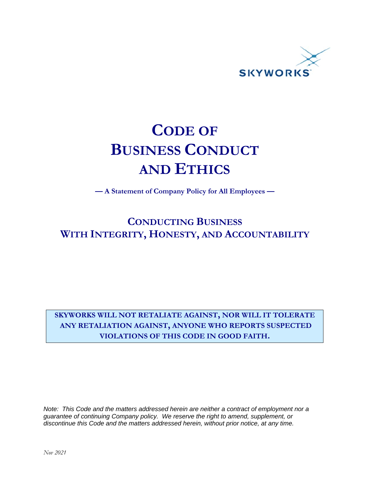

# **CODE OF BUSINESS CONDUCT AND ETHICS**

**— A Statement of Company Policy for All Employees —** 

# **CONDUCTING BUSINESS WITH INTEGRITY, HONESTY, AND ACCOUNTABILITY**

**SKYWORKS WILL NOT RETALIATE AGAINST, NOR WILL IT TOLERATE ANY RETALIATION AGAINST, ANYONE WHO REPORTS SUSPECTED VIOLATIONS OF THIS CODE IN GOOD FAITH.**

*Note: This Code and the matters addressed herein are neither a contract of employment nor a guarantee of continuing Company policy. We reserve the right to amend, supplement, or discontinue this Code and the matters addressed herein, without prior notice, at any time.*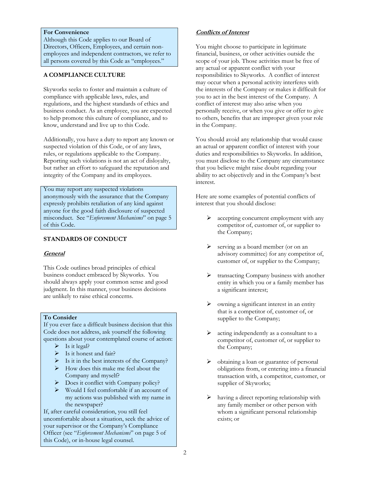# **For Convenience**

Although this Code applies to our Board of Directors, Officers, Employees, and certain nonemployees and independent contractors, we refer to all persons covered by this Code as "employees."

# **A COMPLIANCE CULTURE**

Skyworks seeks to foster and maintain a culture of compliance with applicable laws, rules, and regulations, and the highest standards of ethics and business conduct. As an employee, you are expected to help promote this culture of compliance, and to know, understand and live up to this Code.

Additionally, you have a duty to report any known or suspected violation of this Code, or of any laws, rules, or regulations applicable to the Company. Reporting such violations is not an act of disloyalty, but rather an effort to safeguard the reputation and integrity of the Company and its employees.

You may report any suspected violations anonymously with the assurance that the Company expressly prohibits retaliation of any kind against anyone for the good faith disclosure of suspected misconduct. See "*Enforcement Mechanisms*" on page 5 of this Code.

# **STANDARDS OF CONDUCT**

#### **General**

This Code outlines broad principles of ethical business conduct embraced by Skyworks. You should always apply your common sense and good judgment. In this manner, your business decisions are unlikely to raise ethical concerns.

#### **To Consider**

If you ever face a difficult business decision that this Code does not address, ask yourself the following questions about your contemplated course of action:

- $\triangleright$  Is it legal?
- $\triangleright$  Is it honest and fair?
- $\triangleright$  Is it in the best interests of the Company?
- $\triangleright$  How does this make me feel about the Company and myself?
- $\triangleright$  Does it conflict with Company policy?
- $\triangleright$  Would I feel comfortable if an account of my actions was published with my name in the newspaper?

If, after careful consideration, you still feel uncomfortable about a situation, seek the advice of your supervisor or the Company's Compliance Officer (see "*Enforcement Mechanisms*" on page 5 of this Code), or in-house legal counsel.

# **Conflicts of Interest**

You might choose to participate in legitimate financial, business, or other activities outside the scope of your job. Those activities must be free of any actual or apparent conflict with your responsibilities to Skyworks. A conflict of interest may occur when a personal activity interferes with the interests of the Company or makes it difficult for you to act in the best interest of the Company. A conflict of interest may also arise when you personally receive, or when you give or offer to give to others, benefits that are improper given your role in the Company.

You should avoid any relationship that would cause an actual or apparent conflict of interest with your duties and responsibilities to Skyworks. In addition, you must disclose to the Company any circumstance that you believe might raise doubt regarding your ability to act objectively and in the Company's best interest.

Here are some examples of potential conflicts of interest that you should disclose:

- $\triangleright$  accepting concurrent employment with any competitor of, customer of, or supplier to the Company;
- $\triangleright$  serving as a board member (or on an advisory committee) for any competitor of, customer of, or supplier to the Company;
- transacting Company business with another entity in which you or a family member has a significant interest;
- owning a significant interest in an entity that is a competitor of, customer of, or supplier to the Company;
- $\triangleright$  acting independently as a consultant to a competitor of, customer of, or supplier to the Company;
- obtaining a loan or guarantee of personal obligations from, or entering into a financial transaction with, a competitor, customer, or supplier of Skyworks;
- having a direct reporting relationship with any family member or other person with whom a significant personal relationship exists; or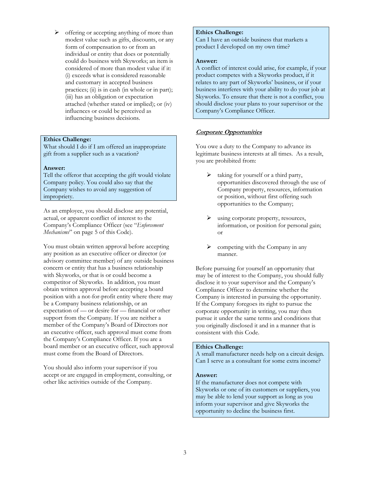$\triangleright$  offering or accepting anything of more than modest value such as gifts, discounts, or any form of compensation to or from an individual or entity that does or potentially could do business with Skyworks; an item is considered of more than modest value if it: (i) exceeds what is considered reasonable and customary in accepted business practices; (ii) is in cash (in whole or in part); (iii) has an obligation or expectation attached (whether stated or implied); or (iv) influences or could be perceived as influencing business decisions.

# **Ethics Challenge:**

What should I do if I am offered an inappropriate gift from a supplier such as a vacation?

#### **Answer:**

Tell the offeror that accepting the gift would violate Company policy. You could also say that the Company wishes to avoid any suggestion of impropriety.

As an employee, you should disclose any potential, actual, or apparent conflict of interest to the Company's Compliance Officer (see "*Enforcement Mechanisms*" on page 5 of this Code).

You must obtain written approval before accepting any position as an executive officer or director (or advisory committee member) of any outside business concern or entity that has a business relationship with Skyworks, or that is or could become a competitor of Skyworks. In addition, you must obtain written approval before accepting a board position with a not-for-profit entity where there may be a Company business relationship, or an expectation of — or desire for — financial or other support from the Company. If you are neither a member of the Company's Board of Directors nor an executive officer, such approval must come from the Company's Compliance Officer. If you are a board member or an executive officer, such approval must come from the Board of Directors.

You should also inform your supervisor if you accept or are engaged in employment, consulting, or other like activities outside of the Company.

# **Ethics Challenge:**

Can I have an outside business that markets a product I developed on my own time?

#### **Answer:**

A conflict of interest could arise, for example, if your product competes with a Skyworks product, if it relates to any part of Skyworks' business, or if your business interferes with your ability to do your job at Skyworks. To ensure that there is not a conflict, you should disclose your plans to your supervisor or the Company's Compliance Officer.

# **Corporate Opportunities**

You owe a duty to the Company to advance its legitimate business interests at all times. As a result, you are prohibited from:

- taking for yourself or a third party, opportunities discovered through the use of Company property, resources, information or position, without first offering such opportunities to the Company;
- using corporate property, resources, information, or position for personal gain; or
- competing with the Company in any manner.

Before pursuing for yourself an opportunity that may be of interest to the Company, you should fully disclose it to your supervisor and the Company's Compliance Officer to determine whether the Company is interested in pursuing the opportunity. If the Company foregoes its right to pursue the corporate opportunity in writing, you may then pursue it under the same terms and conditions that you originally disclosed it and in a manner that is consistent with this Code.

#### **Ethics Challenge:**

A small manufacturer needs help on a circuit design. Can I serve as a consultant for some extra income?

# **Answer:**

If the manufacturer does not compete with Skyworks or one of its customers or suppliers, you may be able to lend your support as long as you inform your supervisor and give Skyworks the opportunity to decline the business first.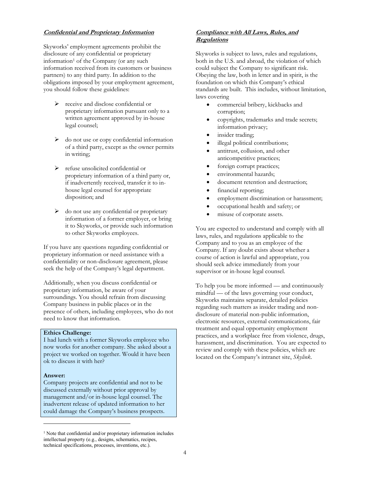#### **Confidential and Proprietary Information**

Skyworks' employment agreements prohibit the disclosure of any confidential or proprietary information<sup>1</sup> of the Company (or any such information received from its customers or business partners) to any third party. In addition to the obligations imposed by your employment agreement, you should follow these guidelines:

- $\triangleright$  receive and disclose confidential or proprietary information pursuant only to a written agreement approved by in-house legal counsel;
- $\triangleright$  do not use or copy confidential information of a third party, except as the owner permits in writing;
- $\triangleright$  refuse unsolicited confidential or proprietary information of a third party or, if inadvertently received, transfer it to inhouse legal counsel for appropriate disposition; and
- $\triangleright$  do not use any confidential or proprietary information of a former employer, or bring it to Skyworks, or provide such information to other Skyworks employees.

If you have any questions regarding confidential or proprietary information or need assistance with a confidentiality or non-disclosure agreement, please seek the help of the Company's legal department.

Additionally, when you discuss confidential or proprietary information, be aware of your surroundings. You should refrain from discussing Company business in public places or in the presence of others, including employees, who do not need to know that information.

#### **Ethics Challenge:**

I had lunch with a former Skyworks employee who now works for another company. She asked about a project we worked on together. Would it have been ok to discuss it with her?

#### **Answer:**

Company projects are confidential and not to be discussed externally without prior approval by management and/or in-house legal counsel. The inadvertent release of updated information to her could damage the Company's business prospects.

#### **Compliance with All Laws, Rules, and Regulations**

Skyworks is subject to laws, rules and regulations, both in the U.S. and abroad, the violation of which could subject the Company to significant risk. Obeying the law, both in letter and in spirit, is the foundation on which this Company's ethical standards are built. This includes, without limitation, laws covering

- commercial bribery, kickbacks and corruption;
- copyrights, trademarks and trade secrets; information privacy;
- insider trading;
- illegal political contributions;
- antitrust, collusion, and other anticompetitive practices;
- foreign corrupt practices;
- environmental hazards;
- document retention and destruction;
- financial reporting;
- employment discrimination or harassment;
- occupational health and safety; or
- misuse of corporate assets.

You are expected to understand and comply with all laws, rules, and regulations applicable to the Company and to you as an employee of the Company. If any doubt exists about whether a course of action is lawful and appropriate, you should seek advice immediately from your supervisor or in-house legal counsel.

To help you be more informed — and continuously mindful — of the laws governing your conduct, Skyworks maintains separate, detailed policies regarding such matters as insider trading and nondisclosure of material non-public information, electronic resources, external communications, fair treatment and equal opportunity employment practices, and a workplace free from violence, drugs, harassment, and discrimination. You are expected to review and comply with these policies, which are located on the Company's intranet site, *Skylink*.

<sup>&</sup>lt;sup>1</sup> Note that confidential and/or proprietary information includes intellectual property (e.g., designs, schematics, recipes, technical specifications, processes, inventions, etc.).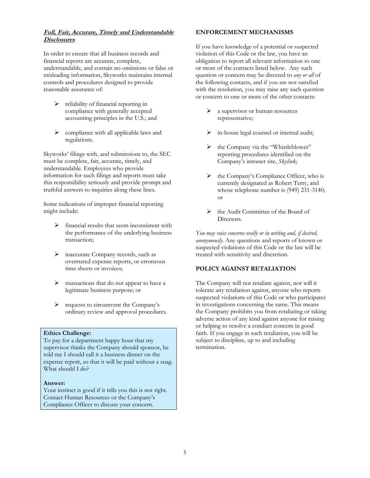# **Full, Fair, Accurate, Timely and Understandable Disclosures**

In order to ensure that all business records and financial reports are accurate, complete, understandable, and contain no omissions or false or misleading information, Skyworks maintains internal controls and procedures designed to provide reasonable assurance of:

- > reliability of financial reporting in compliance with generally accepted accounting principles in the U.S.; and
- $\triangleright$  compliance with all applicable laws and regulations.

Skyworks' filings with, and submissions to, the SEC must be complete, fair, accurate, timely, and understandable. Employees who provide information for such filings and reports must take this responsibility seriously and provide prompt and truthful answers to inquiries along these lines.

Some indications of improper financial reporting might include:

- $\triangleright$  financial results that seem inconsistent with the performance of the underlying business transaction;
- $\triangleright$  inaccurate Company records, such as overstated expense reports, or erroneous time sheets or invoices;
- $\triangleright$  transactions that do not appear to have a legitimate business purpose; or
- $\triangleright$  requests to circumvent the Company's ordinary review and approval procedures.

#### **Ethics Challenge:**

To pay for a department happy hour that my supervisor thinks the Company should sponsor, he told me I should call it a business dinner on the expense report, so that it will be paid without a snag. What should I do?

#### **Answer:**

Your instinct is good if it tells you this is not right. Contact Human Resources or the Company's Compliance Officer to discuss your concern.

#### **ENFORCEMENT MECHANISMS**

If you have knowledge of a potential or suspected violation of this Code or the law, you have an obligation to report all relevant information to one or more of the contacts listed below. Any such question or concern may be directed to *any or all* of the following contacts, and if you are not satisfied with the resolution, you may raise any such question or concern to one or more of the other contacts:

- $\triangleright$  a supervisor or human resources representative;
- in-house legal counsel or internal audit;
- the Company via the "Whistleblower" reporting procedures identified on the Company's intranet site, *Skylink;*
- $\triangleright$  the Company's Compliance Officer, who is currently designated as Robert Terry, and whose telephone number is (949) 231-3140; or
- the Audit Committee of the Board of Directors.

*You may raise concerns orally or in writing and, if desired, anonymously*. Any questions and reports of known or suspected violations of this Code or the law will be treated with sensitivity and discretion.

# **POLICY AGAINST RETALIATION**

The Company will not retaliate against, nor will it tolerate any retaliation against, anyone who reports suspected violations of this Code or who participates in investigations concerning the same. This means the Company prohibits you from retaliating or taking adverse action of any kind against anyone for raising or helping to resolve a conduct concern in good faith. If you engage in such retaliation, you will be subject to discipline, up to and including termination.